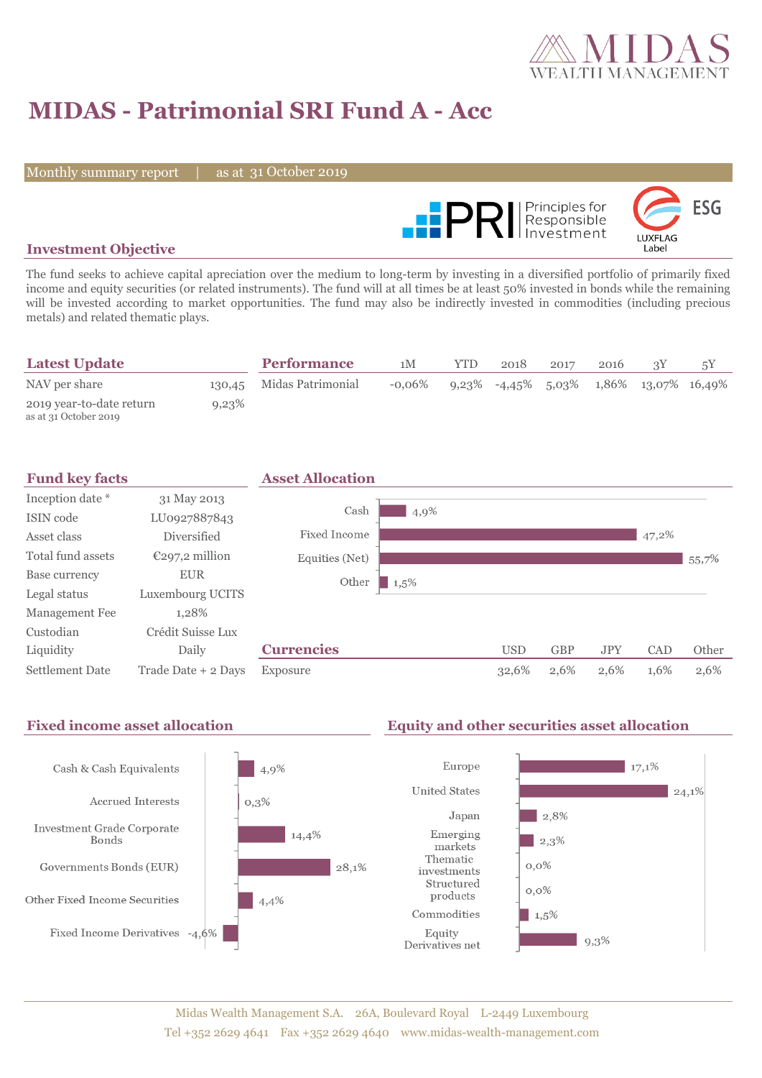

## **MIDAS - Patrimonial SRI Fund A - Acc**

Monthly summary report

31 October 2019



### **Investment Objective**

The fund seeks to achieve capital apreciation over the medium to long-term by investing in a diversified portfolio of primarily fixed income and equity securities (or related instruments). The fund will at all times be at least 50% invested in bonds while the remaining will be invested according to market opportunities. The fund may also be indirectly invested in commodities (including precious metals) and related thematic plays.

| <b>Latest Update</b>                              |       | <b>Performance</b>       | 1M        | <b>YTD</b> | 2018                                           | 2017 | 2016 |  |
|---------------------------------------------------|-------|--------------------------|-----------|------------|------------------------------------------------|------|------|--|
| NAV per share                                     |       | 130,45 Midas Patrimonial | $-0.06\%$ |            | $9,23\%$ -4,45\% 5,03\% 1,86\% 13,07\% 16,49\% |      |      |  |
| 2019 year-to-date return<br>as at 31 October 2019 | 9,23% |                          |           |            |                                                |      |      |  |



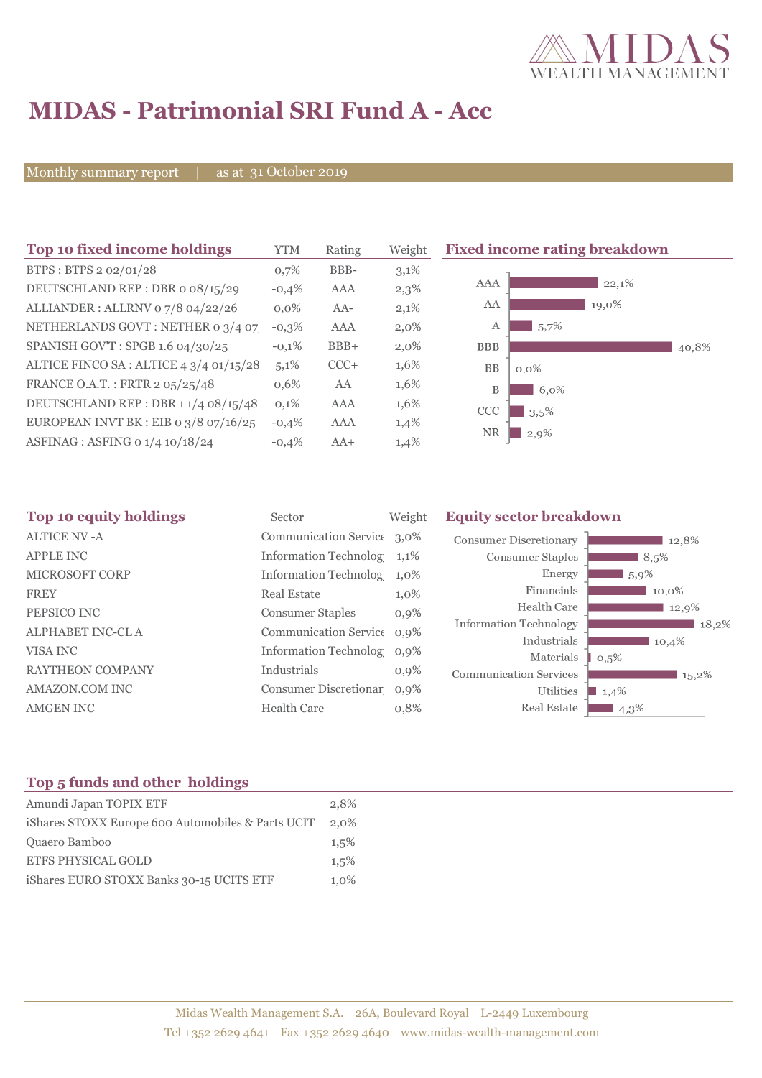

# **MIDAS - Patrimonial SRI Fund A - Acc**

Monthly summary report | as at 31 October 2019

| Top 10 fixed income holdings            | YTM     | Rating | Weight  | <b>Fixed income rating breakdown</b> |
|-----------------------------------------|---------|--------|---------|--------------------------------------|
| BTPS: BTPS 2 02/01/28                   | 0,7%    | BBB-   | $3,1\%$ |                                      |
| DEUTSCHLAND REP : DBR o 08/15/29        | $-0,4%$ | AAA    | 2,3%    | AAA<br>22,1%                         |
| ALLIANDER: ALLRNV 07/8 04/22/26         | $0.0\%$ | $AA-$  | 2,1%    | AA<br>19,0%                          |
| NETHERLANDS GOVT: NETHER 0 3/4 07       | $-0,3%$ | AAA    | $2,0\%$ | 5,7%<br>А                            |
| SPANISH GOV'T: SPGB 1.6 04/30/25        | $-0.1%$ | $BBB+$ | $2,0\%$ | <b>BBB</b><br>40,8%                  |
| ALTICE FINCO SA : ALTICE 4 3/4 01/15/28 | 5,1%    | $CCC+$ | 1,6%    | <b>BB</b><br>$0,0\%$                 |
| FRANCE O.A.T.: FRTR 2 05/25/48          | 0,6%    | AA     | 1,6%    | B<br>6,0%                            |
| DEUTSCHLAND REP: DBR 1 1/4 08/15/48     | 0,1%    | AAA    | $1,6\%$ | CCC<br>3.5%                          |
| EUROPEAN INVT BK : EIB o $3/8$ o7/16/25 | $-0,4%$ | AAA    | 1,4%    | <b>NR</b>                            |
| ASFINAG : ASFING 0 1/4 10/18/24         | $-0.4%$ | $AA+$  | 1,4%    | $2,9\%$                              |

| Sector                  | Weight  | <b>Equity sector breakdown</b>                                                                                                                                                         |                                                           |  |
|-------------------------|---------|----------------------------------------------------------------------------------------------------------------------------------------------------------------------------------------|-----------------------------------------------------------|--|
|                         |         | <b>Consumer Discretionary</b>                                                                                                                                                          | 12,8%                                                     |  |
|                         | $1,1\%$ | Consumer Staples                                                                                                                                                                       | 8,5%                                                      |  |
|                         | $1,0\%$ | Energy                                                                                                                                                                                 | 5,9%                                                      |  |
| <b>Real Estate</b>      | 1,0%    | Financials                                                                                                                                                                             | 10,0%                                                     |  |
| <b>Consumer Staples</b> | $0,9\%$ | Health Care                                                                                                                                                                            | 12,9%                                                     |  |
|                         |         |                                                                                                                                                                                        | 18,2%                                                     |  |
|                         | $0.9\%$ |                                                                                                                                                                                        | 10,4%                                                     |  |
| Industrials             | $0,9\%$ | <b>Communication Services</b>                                                                                                                                                          | 0,5%<br>$15,2\%$                                          |  |
|                         |         | Utilities                                                                                                                                                                              | 1,4%                                                      |  |
| <b>Health Care</b>      | 0,8%    | Real Estate                                                                                                                                                                            | 4,3%                                                      |  |
|                         |         | Communication Service 3,0%<br><b>Information Technolog</b><br><b>Information Technolog</b><br>Communication Service 0,9%<br><b>Information Technolog</b><br>Consumer Discretionar 0,9% | <b>Information Technology</b><br>Industrials<br>Materials |  |

### **Top 5 funds and other holdings**

| Amundi Japan TOPIX ETF                            | 2.8%    |
|---------------------------------------------------|---------|
| iShares STOXX Europe 600 Automobiles & Parts UCIT | 2,0%    |
| Quaero Bamboo                                     | 1.5%    |
| <b>ETFS PHYSICAL GOLD</b>                         | 1.5%    |
| iShares EURO STOXX Banks 30-15 UCITS ETF          | $1.0\%$ |
|                                                   |         |